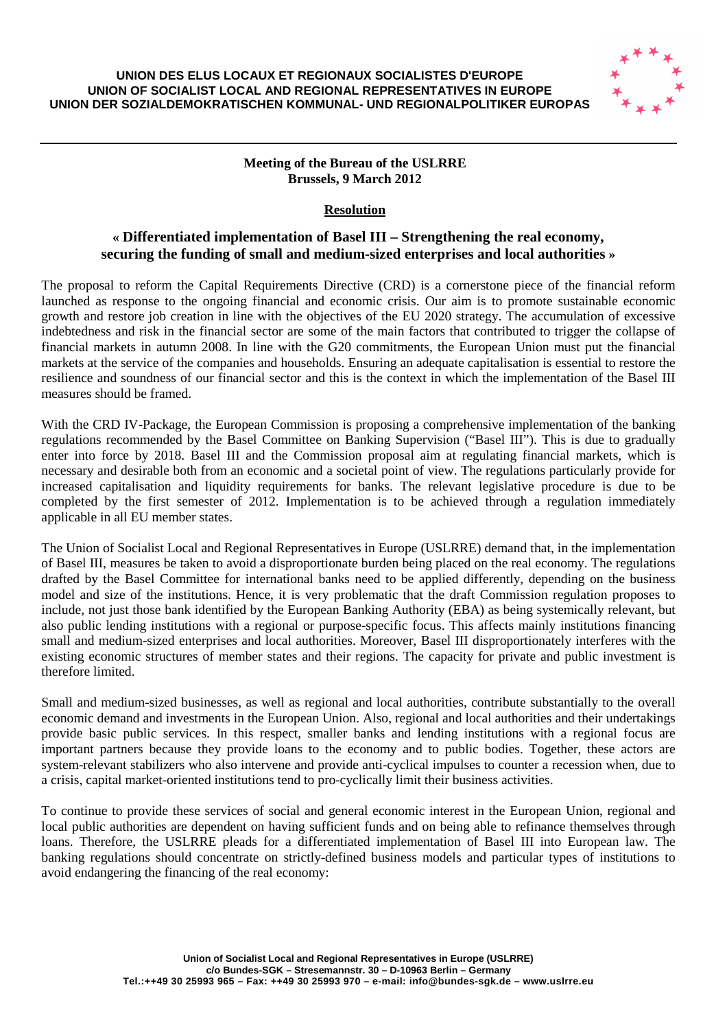

## **Meeting of the Bureau of the USLRRE Brussels, 9 March 2012**

## **Resolution**

## **« Differentiated implementation of Basel III – Strengthening the real economy, securing the funding of small and medium-sized enterprises and local authorities »**

The proposal to reform the Capital Requirements Directive (CRD) is a cornerstone piece of the financial reform launched as response to the ongoing financial and economic crisis. Our aim is to promote sustainable economic growth and restore job creation in line with the objectives of the EU 2020 strategy. The accumulation of excessive indebtedness and risk in the financial sector are some of the main factors that contributed to trigger the collapse of financial markets in autumn 2008. In line with the G20 commitments, the European Union must put the financial markets at the service of the companies and households. Ensuring an adequate capitalisation is essential to restore the resilience and soundness of our financial sector and this is the context in which the implementation of the Basel III measures should be framed.

With the CRD IV-Package, the European Commission is proposing a comprehensive implementation of the banking regulations recommended by the Basel Committee on Banking Supervision ("Basel III"). This is due to gradually enter into force by 2018. Basel III and the Commission proposal aim at regulating financial markets, which is necessary and desirable both from an economic and a societal point of view. The regulations particularly provide for increased capitalisation and liquidity requirements for banks. The relevant legislative procedure is due to be completed by the first semester of 2012. Implementation is to be achieved through a regulation immediately applicable in all EU member states.

The Union of Socialist Local and Regional Representatives in Europe (USLRRE) demand that, in the implementation of Basel III, measures be taken to avoid a disproportionate burden being placed on the real economy. The regulations drafted by the Basel Committee for international banks need to be applied differently, depending on the business model and size of the institutions. Hence, it is very problematic that the draft Commission regulation proposes to include, not just those bank identified by the European Banking Authority (EBA) as being systemically relevant, but also public lending institutions with a regional or purpose-specific focus. This affects mainly institutions financing small and medium-sized enterprises and local authorities. Moreover, Basel III disproportionately interferes with the existing economic structures of member states and their regions. The capacity for private and public investment is therefore limited.

Small and medium-sized businesses, as well as regional and local authorities, contribute substantially to the overall economic demand and investments in the European Union. Also, regional and local authorities and their undertakings provide basic public services. In this respect, smaller banks and lending institutions with a regional focus are important partners because they provide loans to the economy and to public bodies. Together, these actors are system-relevant stabilizers who also intervene and provide anti-cyclical impulses to counter a recession when, due to a crisis, capital market-oriented institutions tend to pro-cyclically limit their business activities.

To continue to provide these services of social and general economic interest in the European Union, regional and local public authorities are dependent on having sufficient funds and on being able to refinance themselves through loans. Therefore, the USLRRE pleads for a differentiated implementation of Basel III into European law. The banking regulations should concentrate on strictly-defined business models and particular types of institutions to avoid endangering the financing of the real economy: